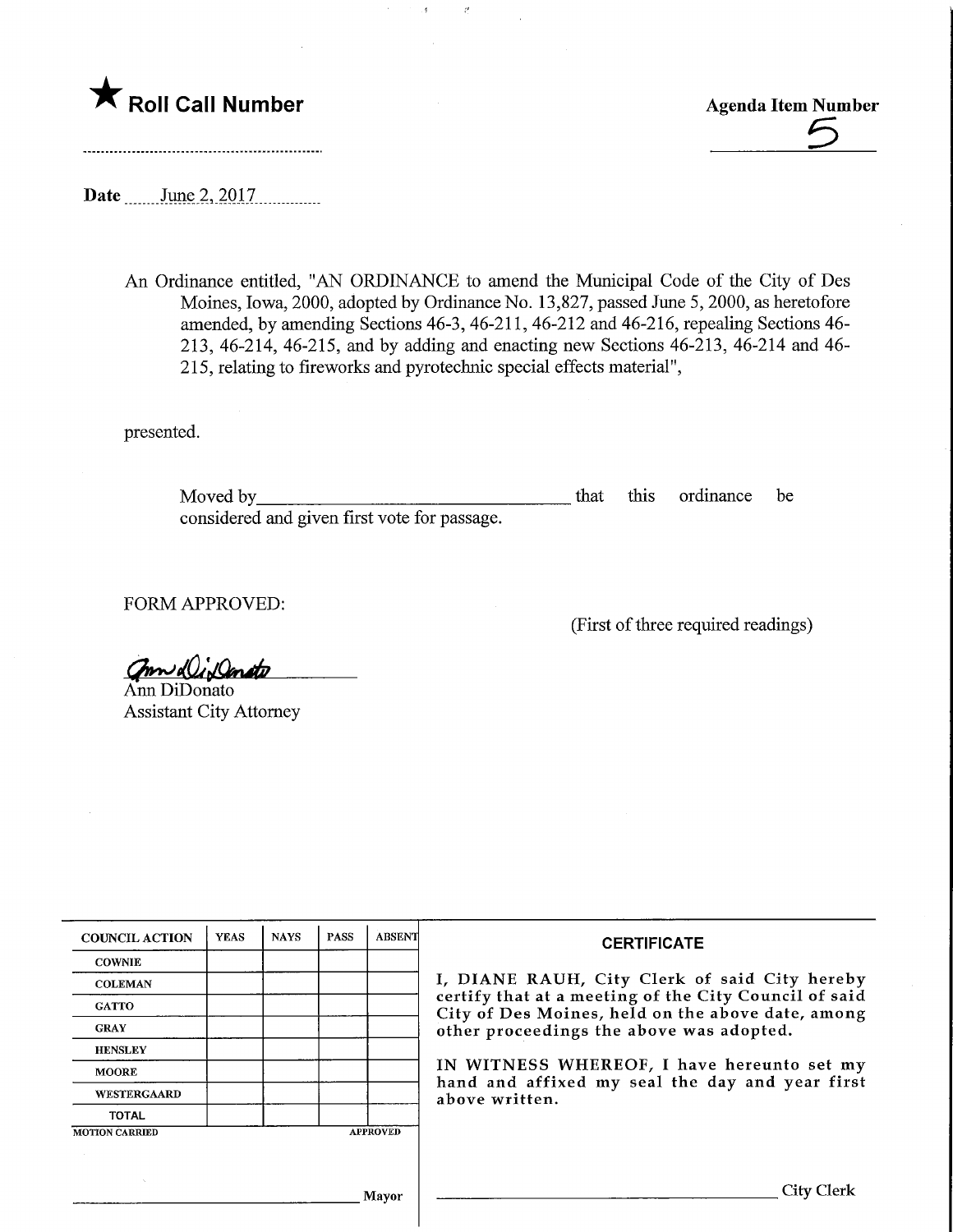

Roll Call Number<br>
The Call Number<br>
The Contract of the Contract of the Contract of the Contract of the Contract of the Contract of the Contract of the Contract of the Contract of the Contract of the Contract of the Contrac

Date ........June 2, 2017

An Ordinance entitled, "AN ORDINANCE to amend the Municipal Code of the City of Des Moines, Iowa, 2000, adopted by Ordinance No. 13,827, passed June 5, 2000, as heretofore amended, by amending Sections 46-3, 46-211, 46-212 and 46-216, repealing Sections 46- 213, 46-214, 46-215, and by adding and enacting new Sections 46-213, 46-214 and 46- 215, relating to fireworks and pyrotechnic special effects material",

Ă.

 $\bar{\ell}$ 

presented.

Moved by considered and given first vote for passage. that this ordinance be

FORM APPROVED:

(First of three required readings)

mudlidanate

Ann DiDonato Assistant City Attorney

| <b>COUNCIL ACTION</b> | <b>YEAS</b> | <b>NAYS</b> | <b>PASS</b> | <b>ABSENT</b>   | <b>CERTIFICATE</b>                                                                                         |  |
|-----------------------|-------------|-------------|-------------|-----------------|------------------------------------------------------------------------------------------------------------|--|
| <b>COWNIE</b>         |             |             |             |                 |                                                                                                            |  |
| <b>COLEMAN</b>        |             |             |             |                 | I, DIANE RAUH, City Clerk of said City hereby                                                              |  |
| <b>GATTO</b>          |             |             |             |                 | certify that at a meeting of the City Council of said<br>City of Des Moines, held on the above date, among |  |
| <b>GRAY</b>           |             |             |             |                 | other proceedings the above was adopted.                                                                   |  |
| <b>HENSLEY</b>        |             |             |             |                 |                                                                                                            |  |
| <b>MOORE</b>          |             |             |             |                 | IN WITNESS WHEREOF, I have hereunto set my                                                                 |  |
| WESTERGAARD           |             |             |             |                 | hand and affixed my seal the day and year first<br>above written.                                          |  |
| <b>TOTAL</b>          |             |             |             |                 |                                                                                                            |  |
| <b>MOTION CARRIED</b> |             |             |             | <b>APPROVED</b> |                                                                                                            |  |
|                       |             |             |             |                 |                                                                                                            |  |
| <b>COL</b>            |             |             |             | Mayor           | City Clerk                                                                                                 |  |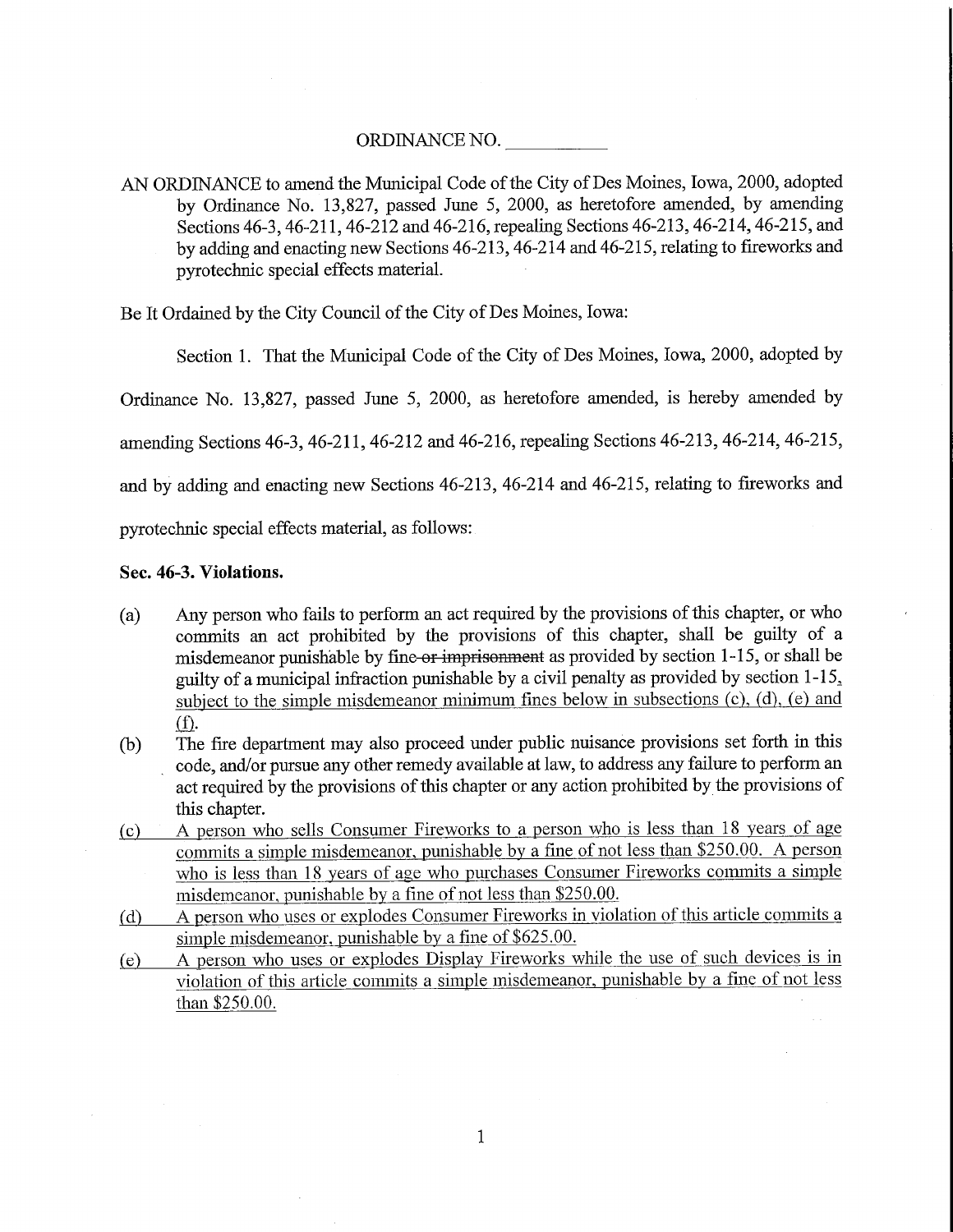## ORDINANCE NO.

AN ORDINANCE to amend the Municipal Code of the City of Des Moines, Iowa, 2000, adopted by Ordinance No. 13,827, passed June 5, 2000, as heretofore amended, by amending Sections 46-3,46-211,46-212 and 46-216, repealing Sections 46-213,46-214, 46-215, and by adding and enacting new Sections 46-213, 46-214 and 46-215, relating to fireworks and pyrotechnic special effects material.

Be It Ordained by the City Council of the City of Des Moines, Iowa:

Section 1. That the Municipal Code of the City of Des Moines, Iowa, 2000, adopted by

Ordinance No. 13,827, passed June 5, 2000, as heretofore amended, is hereby amended by

amending Sections 46-3, 46-211, 46-212 and 46-216, repealing Sections 46-213, 46-214, 46-215,

and by adding and enacting new Sections 46-213, 46-214 and 46-215, relating to fireworks and

pyrotechnic special effects material, as follows:

### Sec. 46-3. Violations.

- (a) Any person who fails to perform an act required by the provisions of this chapter, or who commits an act prohibited by the provisions of this chapter, shall be guilty of a misdemeanor punishable by fine or imprisonment as provided by section 1-15, or shall be guilty of a municipal infraction punishable by a civil penalty as provided by section  $1-15$ . subject to the simple misdemeanor minimum fines below in subsections  $(c)$ ,  $(d)$ ,  $(e)$  and  $(f).$
- (b) The fire department may also proceed under public nuisance provisions set forth in this code, and/or pursue any other remedy available at law, to address any failure to perform an act required by the provisions of this chapter or any action prohibited by the provisions of this chapter.
- (c) A person who sells Consumer Fireworks to a person who is less than 18 years of age commits a simple misdemeanor, punishable by a fine of not less than \$250.00. A person who is less than 18 years of age who purchases Consumer Fireworks commits a simple misdemeanor, punishable by a fine of not less than \$250.00,
- (d) A person who uses or explodes Consumer Fireworks in violation of this article commits a simple misdemeanor, punishable by a fine of \$625.00.
- (e) A person who uses or explodes Display Fireworks while the use of such devices is in violation of this article commits a simple misdemeanor, punishable by a fine of not less than \$250.00.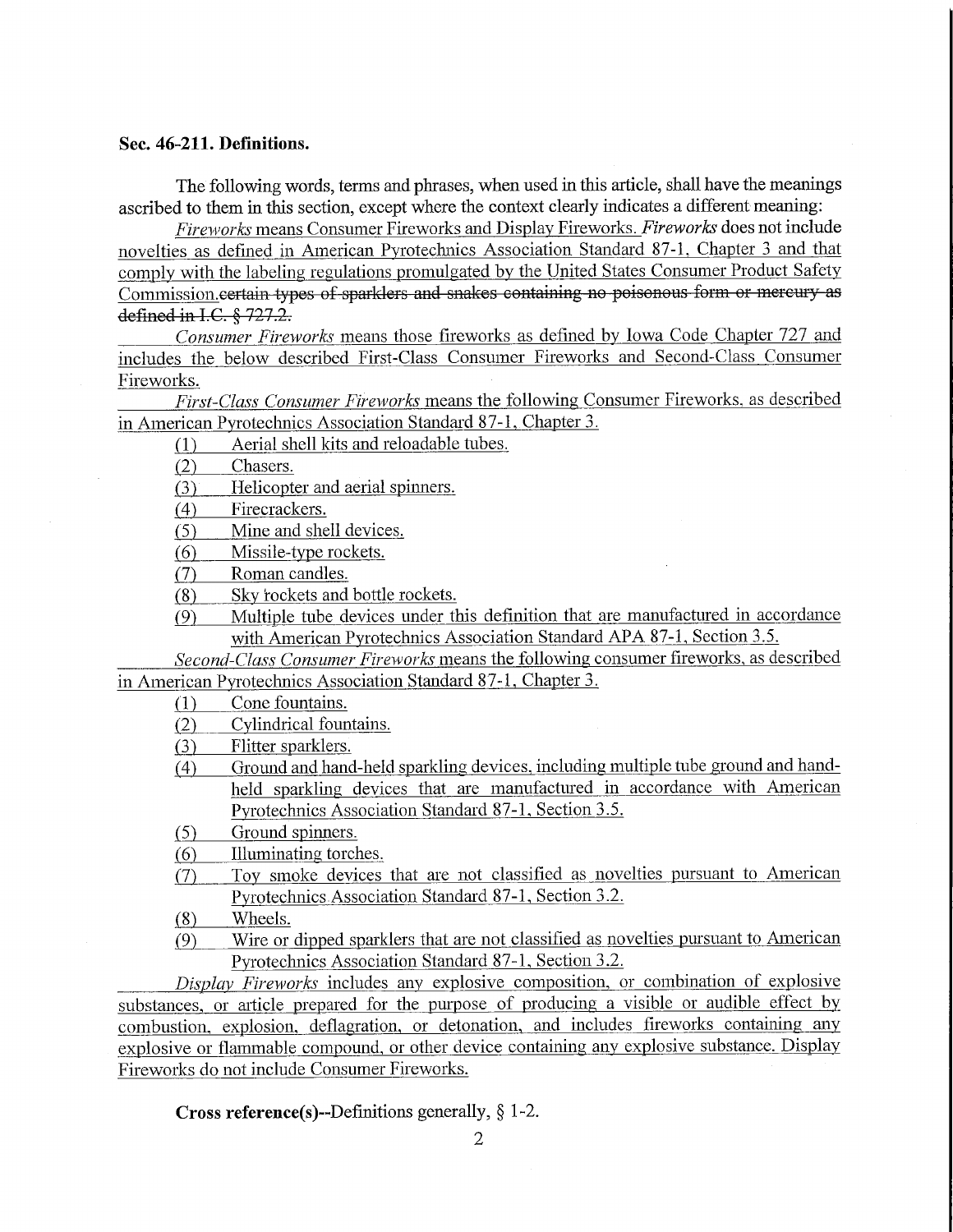## Sec. 46-211. Definitions.

The following words, terms and phrases, when used in this article, shall have the meanings ascribed to them in this section, except where the context clearly indicates a different meaning:

Fireworks means Consumer Fireworks and Display Fireworks. Fireworks does not include novelties as defined in American Pyrotechnics Association Standard 87-1. Chapter 3 and that comply with the labeling regulations promulgated by the United States Consumer Product Safety Commission.certain types of sparklers and snakes containing no poisonous form or mercury as defined in I.C. § 727.2.

Consumer Fireworks means those fireworks as defined by Iowa Code Chapter 727 and includes the below described First-Class Consumer Fireworks and Second-Class Consumer Fireworks.

First-Class Consumer Fireworks means the following Consumer Fireworks, as described in American Pyroteclmics Association Standard 87-1, Chapter 3.

 $f(1)$  Aerial shell kits and reloadable tubes.

(2) Chasers.

(3) Helicopter and aerial spinners.

(4) Firecrackers.

(5) Mine and shell devices.

 $(6)$  . Missile-type rockets.

(7) Roman candles.

(8) Sky rockets and bottle rockets.

(9) Multiple tube devices under this definition that are manufactured in accordance with American Pyrotechnics Association Standard APA 87-1, Section 3.5.

Second-Class Consumer Fireworks means the following consumer fireworks, as described in American Pyrotechnics Association Standard 87-1, Chapter 3.

(1) Cone fountains.

(2) Cylindrical fountains.

(3) Flitter sparklers.

- (4) Ground and hand-held sparkling devices, including multiple tube ground and handheld sparkling devices that are manufactured in accordance with American Pyrotechnics Association Standard 87-1, Section 3.5.
- f5) Ground spinners.
- f6) Illuminating torches.
- (7) Toy smoke devices that are not classified as novelties pursuant to American Pyrotechnics Association Standard 87-1, Section 3.2.
- (8) Wheels.
- (9) Wire or dipped sparklers that are not classified as novelties pursuant to American Pyrotechnics Association Standard 87-1, Section 3.2.

Display Fireworks includes any explosive composition, or combination of explosive substances, or article prepared for the purpose of producing a visible or audible effect by combustion, explosion, deflagration, or detonation, and includes fireworks containing any explosive or flammable compound, or other device containing any explosive substance. Display Fireworks do not include Consumer Fireworks.

**Cross reference(s)--Definitions generally,**  $\S$  **1-2.**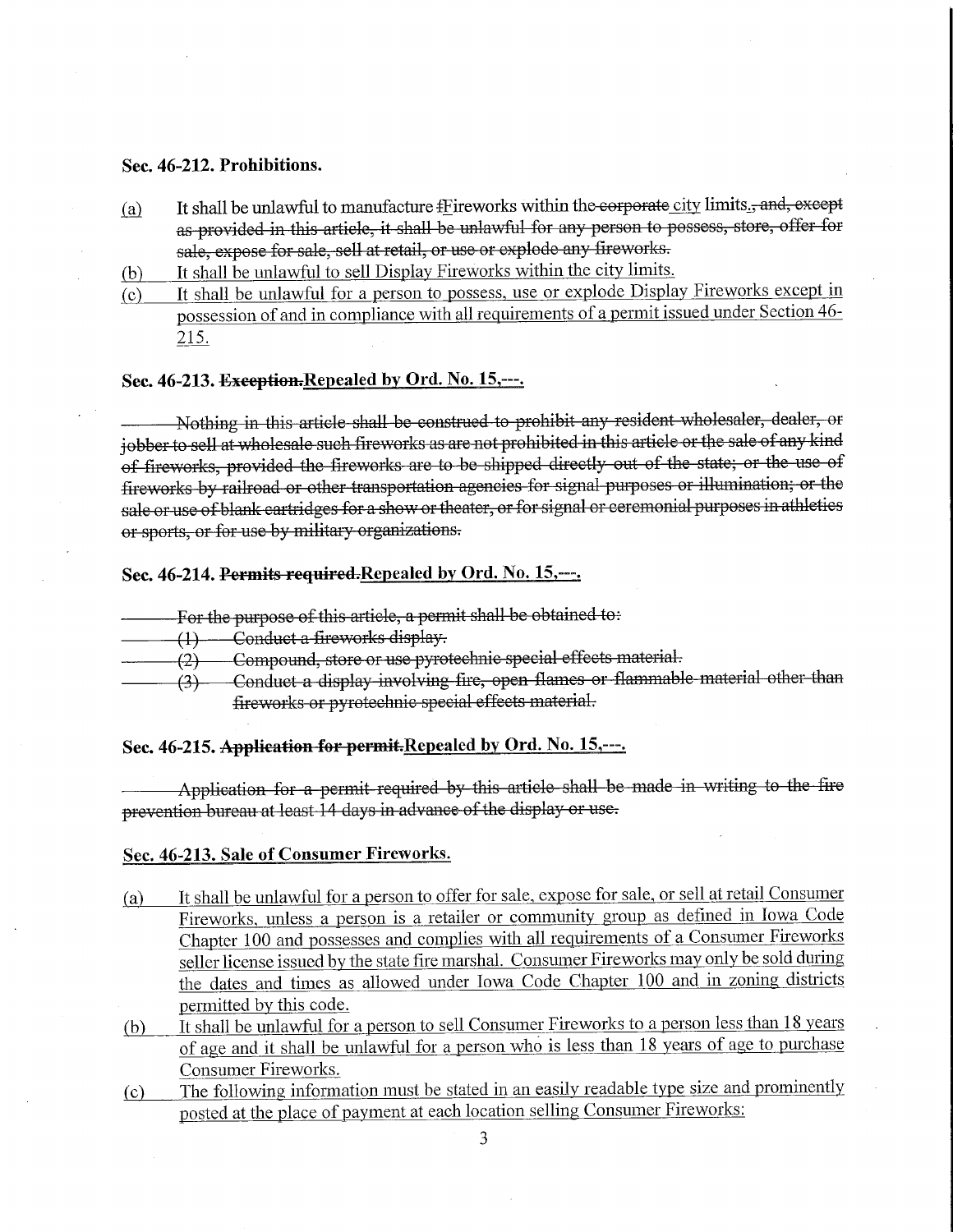### Sec. 46-212. Prohibitions.

- (a) It shall be unlawful to manufacture  $f$  is entry the corporation in the corporate city limits  $f_1$ , and, except as provided in this article, it shall be unlawful for any person to possess, store, offer for sale, expose for sale, sell at retail, or use or explode any fireworks.
- (b) It shall be unlawful to sell Display Fireworks within the city limits.
- (c) It shall be unlawful for a person to possess, use or explode Display Fireworks except in possession of and in compliance with all requirements of a permit issued under Section 46- 215,

## Sec. 46-213. Exception. Repealed by Ord. No. 15,---.

Nothing in this article shall be construed to prohibit any resident wholesaler, dealer, or jobber to sell at wholesale such fireworks as are not prohibited in this article or the sale of any kind of fireworks, provided the fireworks are to be shipped directly out of the state; or the use of fireworks by railroad or other transportation agencies for signal purposes or illumination; or the sale or use of blank cartridges for a show or theater, or for signal or ceremonial purposes in athletics or sports, or for use by military organizations.

# Sec. 46-214. Permits required.Repealed by Ord. No. 15,---.

- For the purpose of this article, a permit shall be obtained to:
- -(4-)—Conduct a fireworks display.
- -(3)—Compound, store or use pyrotechnic special effects material.
- (3) Conduct a display involving fire, open flames or flammable material other than fireworks or pyrotechnic special effects material.

### Sec. 46-215. Application for permit.Repealed by Ord. No. 15,---.

Application for a permit required by this article shall be made in writing to the fire prevention bureau at least 14 days in advance of the display or use.

### Sec. 46-213. Sale of Consumer Fireworks.

- (a) It shall be unlawful for a person to offer for sale, expose for sale, or sell at retail Consumer Fireworks, unless a person is a retailer or community group as defined in Iowa Code Chapter 100 and possesses and complies with all requirements of a Consumer Fireworks seller license issued by the state fire marshal. Consumer Fireworks may only be sold during the dates and times as allowed under Iowa Code Chapter 100 and in zoning districts permitted by this code.
- (b) It shall be unlawful for a person to sell Consumer Fireworks to a person less than 18 years of age and it shall be unlawful for a person who is less than 18 years of age to purchase Consumer Fireworks.
- (c) The following information must be stated in an easily readable type size and prominently posted at the place of payment at each location selling Consumer Fireworks: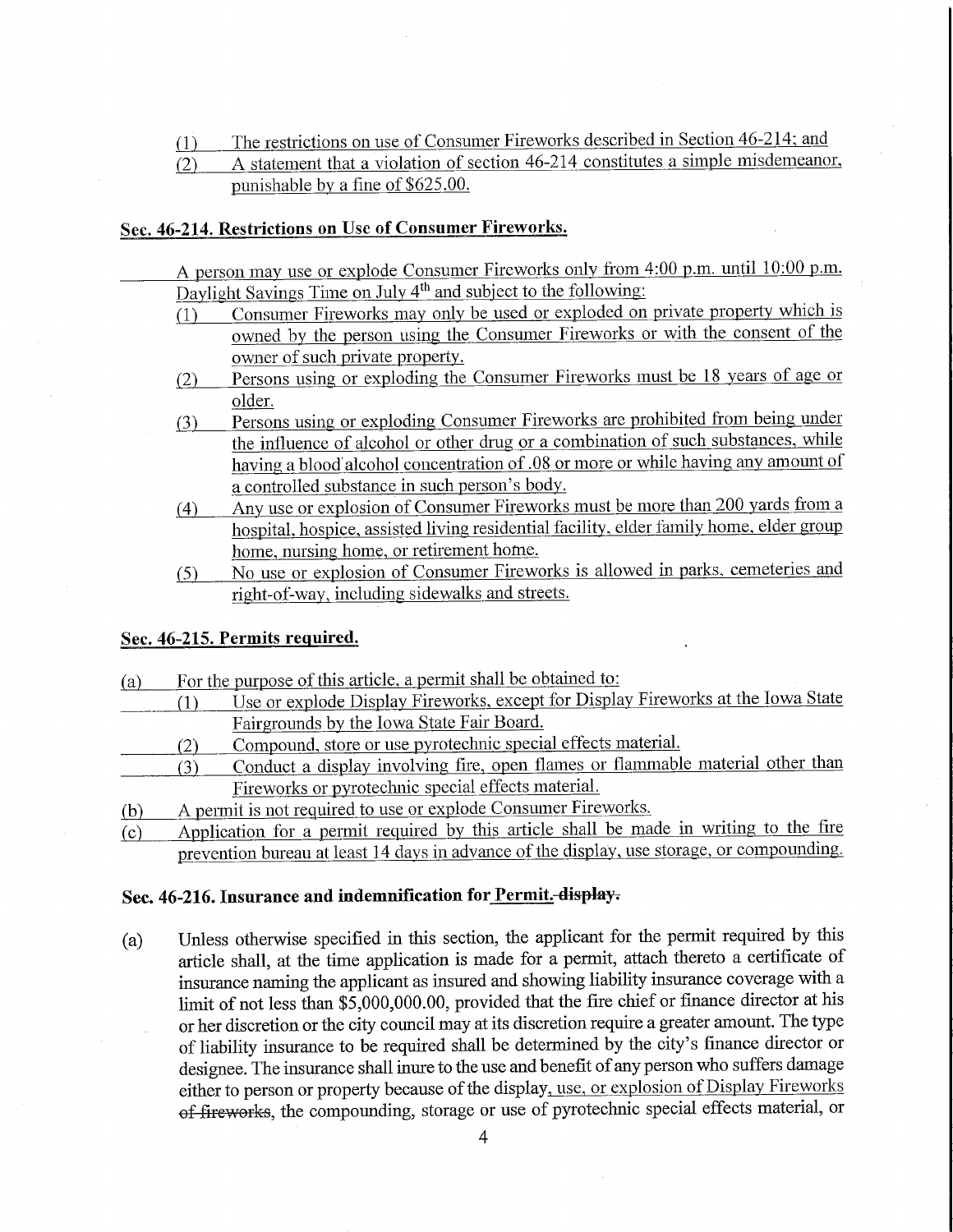(1) The restrictions on use of Consumer Fireworks described in Section 46-214; and

# (2) A statement that a violation of section 46-214 constitutes a simple misdemeanor, punishable by a fine of \$625.00.

# Sec. 46-214. Restrictions on Use of Consumer Fireworks.

- A person may use or explode Consumer Fireworks only from 4:00 p.m. until 10:00 p.m. Daylight Savings Time on July  $4<sup>th</sup>$  and subject to the following:
	- fl) Consumer Fireworks may only be used or exploded on private property which is owned by the person using the Consumer Fireworks or with the consent of the owner of such private property.
	- (2) Persons using or exploding the Consumer Fireworks must be 18 years of age or older.
	- (3) Persons using or exploding Consumer Fireworks are prohibited from being under the influence of alcohol or other drug or a combination of such substances, while having a blood alcohol concentration of .08 or more or while having any amount of a controlled substance in such person's body.
	- (4) Any use or explosion of Consumer Fireworks must be more than 200 yards from a hospital, hospice, assisted living residential facility, elder family home. elder group home, nursing home, or retirement home.
	- f5) No use or explosion of Consumer Fireworks is allowed in parks, cemeteries and right-of-way, including sidewalks and streets.

## Sec. 46-215. Permits required.

| <u>(a)</u> |     | For the purpose of this article, a permit shall be obtained to:                            |
|------------|-----|--------------------------------------------------------------------------------------------|
|            |     | Use or explode Display Fireworks, except for Display Fireworks at the Iowa State           |
|            |     | Fairgrounds by the <u>Iowa State Fair Board.</u>                                           |
|            | (2) | Compound, store or use pyrotechnic special effects material.                               |
|            | (3) | Conduct a display involving fire, open flames or flammable material other than             |
|            |     | Fireworks or pyrotechnic special effects material.                                         |
| (b)        |     | A permit is not required to use or explode Consumer Fireworks.                             |
| (c)        |     | Application for a permit required by this article shall be made in writing to the fire     |
|            |     | prevention bureau at least 14 days in advance of the display, use storage, or compounding. |

### Sec. 46-216. Insurance and indemnification for Permit. display.

(a) Unless otherwise specified in this section, the applicant for the permit required by this article shall, at the time application is made for a permit, attach thereto a certificate of insurance naming the applicant as insured and showing liability insurance coverage with a limit of not less than \$5,000,000.00, provided that the fire chief or finance director at his or her discretion or the city council may at its discretion require a greater amount. The type of liability insurance to be required shall be determined by the city's finance director or designee. The insurance shall inure to the use and benefit of any person who suffers damage either to person or property because of the display, use, or explosion of Display Fireworks of fireworks, the compounding, storage or use of pyrotechnic special effects material, or